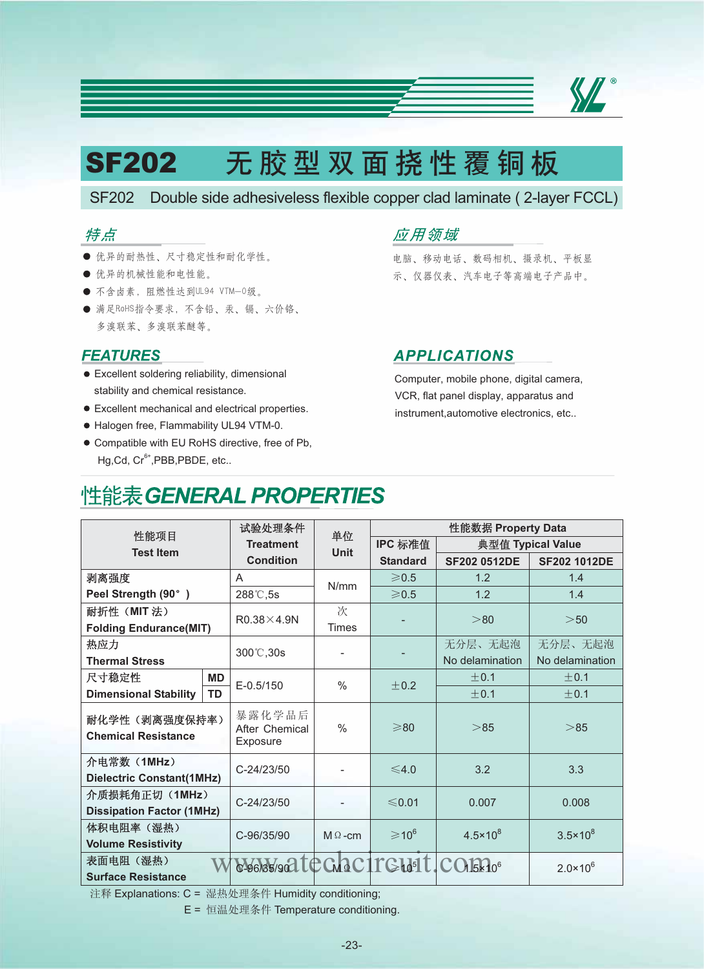

# $S$ F202 无胶型双面挠性覆铜板

SF202 Double side adhesiveless flexible copper clad laminate ( 2-layer FCCL)

### 特点

- 优异的耐热性、尺寸稳定性和耐化学性。 电脑、移动电话、数码相机、摄录机、平板显
- 
- $\bullet$  不含卤素, 阻燃性达到UL94 VTM-0级。
- 满足RoHS指令要求, 不含铅、汞、镉、六价铬、 多溴联苯醚等。

#### **FEATURES**

- Excellent soldering reliability, dimensional stability and chemical resistance.
- Excellent mechanical and electrical properties.
- Halogen free, Flammability UL94 VTM-0.
- Compatible with EU RoHS directive, free of Pb, Hg,Cd, Cr<sup>6+</sup>,PBB,PBDE, etc..

## 应用领域

● 优异的机械性能和电性能。 示、仪器仪表、汽车电子等高端电子产品中。

### **APPLICATIONS**

Computer, mobile phone, digital camera, VCR, flat panel display, apparatus and instrument,automotive electronics, etc..

# 性能表 GENERAL PROPERTIES

| 性能项目<br><b>Test Item</b>                          |           | 试验处理条件                               | 单位             | 性能数据 Property Data          |                     |                     |
|---------------------------------------------------|-----------|--------------------------------------|----------------|-----------------------------|---------------------|---------------------|
|                                                   |           | <b>Treatment</b>                     | <b>Unit</b>    | IPC 标准值                     | 典型值 Typical Value   |                     |
|                                                   |           | <b>Condition</b>                     |                | <b>Standard</b>             | <b>SF202 0512DE</b> | <b>SF202 1012DE</b> |
| 剥离强度                                              |           | A                                    | N/mm           | $\geqslant$ 0.5             | 1.2                 | 1.4                 |
| Peel Strength (90°)                               |           | 288°C,5s                             |                | $\geqslant$ 0.5             | 1.2                 | 1.4                 |
| 耐折性 (MIT 法)<br><b>Folding Endurance(MIT)</b>      |           | $R0.38\times4.9N$                    | 次              |                             | > 80                | >50                 |
|                                                   |           |                                      | <b>Times</b>   |                             |                     |                     |
| 热应力<br><b>Thermal Stress</b>                      |           | 300°C,30s                            |                |                             | 无分层、无起泡             | 无分层、无起泡             |
|                                                   |           |                                      |                |                             | No delamination     | No delamination     |
| 尺寸稳定性                                             | <b>MD</b> | $E - 0.5/150$                        | $\%$           | ±0.2                        | $+0.1$              | ±0.1                |
| <b>Dimensional Stability</b>                      | TD        |                                      |                |                             | ±0.1                | ±0.1                |
| 耐化学性(剥离强度保持率)<br><b>Chemical Resistance</b>       |           | 暴露化学品后<br>After Chemical<br>Exposure | $\%$           | $\geq 80$                   | > 85                | > 85                |
| 介电常数 (1MHz)<br><b>Dielectric Constant(1MHz)</b>   |           | C-24/23/50                           |                | $\leq 4.0$                  | 3.2                 | 3.3                 |
| 介质损耗角正切(1MHz)<br><b>Dissipation Factor (1MHz)</b> |           | C-24/23/50                           |                | $\leq 0.01$                 | 0.007               | 0.008               |
| 体积电阻率 (湿热)<br><b>Volume Resistivity</b>           |           | C-96/35/90                           | $M \Omega$ -cm | $\geqslant$ 10 <sup>6</sup> | $4.5 \times 10^{8}$ | $3.5 \times 10^8$   |
| 表面电阻 (湿热)<br><b>Surface Resistance</b>            |           | SA6088/9021 CGdaC1 TGda1 t CO16270°  |                |                             |                     | $2.0 \times 10^{6}$ |

注释 Explanations: C = 湿热处理条件 Humidity conditioning;

E = 恒温处理条件 Temperature conditioning.